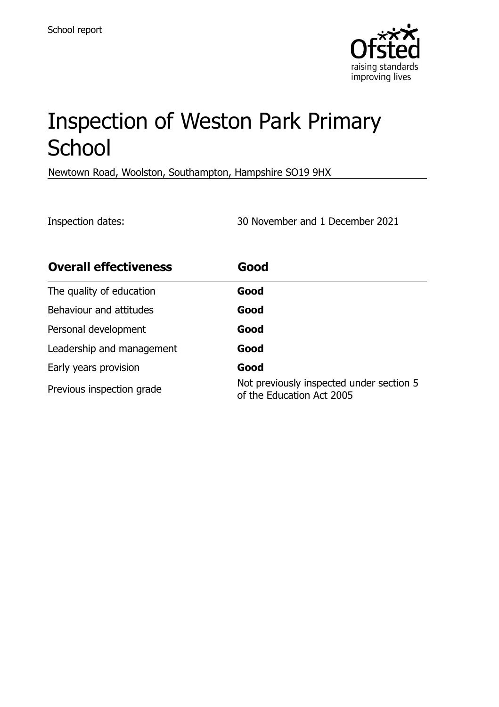

# Inspection of Weston Park Primary **School**

Newtown Road, Woolston, Southampton, Hampshire SO19 9HX

Inspection dates: 30 November and 1 December 2021

| <b>Overall effectiveness</b> | Good                                                                  |
|------------------------------|-----------------------------------------------------------------------|
| The quality of education     | Good                                                                  |
| Behaviour and attitudes      | Good                                                                  |
| Personal development         | Good                                                                  |
| Leadership and management    | Good                                                                  |
| Early years provision        | Good                                                                  |
| Previous inspection grade    | Not previously inspected under section 5<br>of the Education Act 2005 |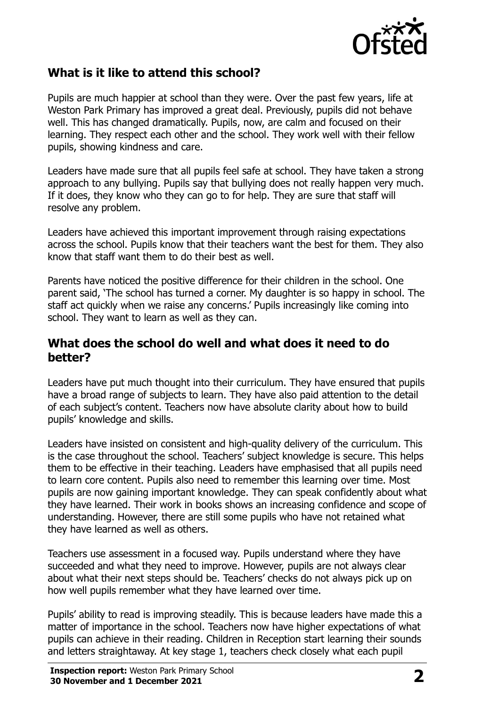

## **What is it like to attend this school?**

Pupils are much happier at school than they were. Over the past few years, life at Weston Park Primary has improved a great deal. Previously, pupils did not behave well. This has changed dramatically. Pupils, now, are calm and focused on their learning. They respect each other and the school. They work well with their fellow pupils, showing kindness and care.

Leaders have made sure that all pupils feel safe at school. They have taken a strong approach to any bullying. Pupils say that bullying does not really happen very much. If it does, they know who they can go to for help. They are sure that staff will resolve any problem.

Leaders have achieved this important improvement through raising expectations across the school. Pupils know that their teachers want the best for them. They also know that staff want them to do their best as well.

Parents have noticed the positive difference for their children in the school. One parent said, 'The school has turned a corner. My daughter is so happy in school. The staff act quickly when we raise any concerns.' Pupils increasingly like coming into school. They want to learn as well as they can.

#### **What does the school do well and what does it need to do better?**

Leaders have put much thought into their curriculum. They have ensured that pupils have a broad range of subjects to learn. They have also paid attention to the detail of each subject's content. Teachers now have absolute clarity about how to build pupils' knowledge and skills.

Leaders have insisted on consistent and high-quality delivery of the curriculum. This is the case throughout the school. Teachers' subject knowledge is secure. This helps them to be effective in their teaching. Leaders have emphasised that all pupils need to learn core content. Pupils also need to remember this learning over time. Most pupils are now gaining important knowledge. They can speak confidently about what they have learned. Their work in books shows an increasing confidence and scope of understanding. However, there are still some pupils who have not retained what they have learned as well as others.

Teachers use assessment in a focused way. Pupils understand where they have succeeded and what they need to improve. However, pupils are not always clear about what their next steps should be. Teachers' checks do not always pick up on how well pupils remember what they have learned over time.

Pupils' ability to read is improving steadily. This is because leaders have made this a matter of importance in the school. Teachers now have higher expectations of what pupils can achieve in their reading. Children in Reception start learning their sounds and letters straightaway. At key stage 1, teachers check closely what each pupil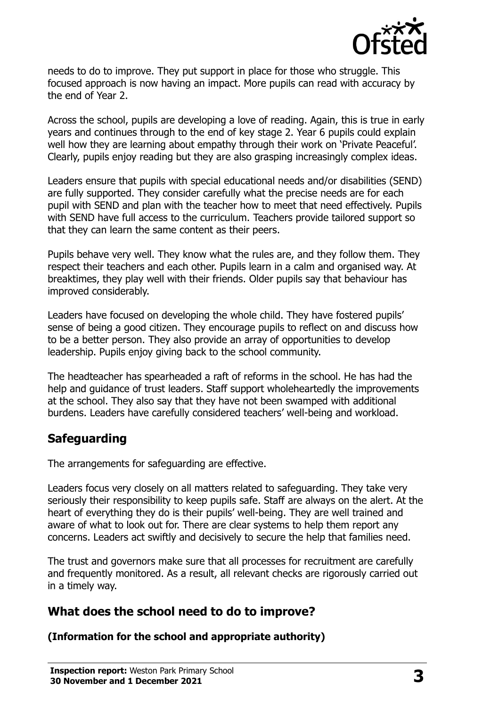

needs to do to improve. They put support in place for those who struggle. This focused approach is now having an impact. More pupils can read with accuracy by the end of Year 2.

Across the school, pupils are developing a love of reading. Again, this is true in early years and continues through to the end of key stage 2. Year 6 pupils could explain well how they are learning about empathy through their work on 'Private Peaceful'. Clearly, pupils enjoy reading but they are also grasping increasingly complex ideas.

Leaders ensure that pupils with special educational needs and/or disabilities (SEND) are fully supported. They consider carefully what the precise needs are for each pupil with SEND and plan with the teacher how to meet that need effectively. Pupils with SEND have full access to the curriculum. Teachers provide tailored support so that they can learn the same content as their peers.

Pupils behave very well. They know what the rules are, and they follow them. They respect their teachers and each other. Pupils learn in a calm and organised way. At breaktimes, they play well with their friends. Older pupils say that behaviour has improved considerably.

Leaders have focused on developing the whole child. They have fostered pupils' sense of being a good citizen. They encourage pupils to reflect on and discuss how to be a better person. They also provide an array of opportunities to develop leadership. Pupils enjoy giving back to the school community.

The headteacher has spearheaded a raft of reforms in the school. He has had the help and guidance of trust leaders. Staff support wholeheartedly the improvements at the school. They also say that they have not been swamped with additional burdens. Leaders have carefully considered teachers' well-being and workload.

# **Safeguarding**

The arrangements for safeguarding are effective.

Leaders focus very closely on all matters related to safeguarding. They take very seriously their responsibility to keep pupils safe. Staff are always on the alert. At the heart of everything they do is their pupils' well-being. They are well trained and aware of what to look out for. There are clear systems to help them report any concerns. Leaders act swiftly and decisively to secure the help that families need.

The trust and governors make sure that all processes for recruitment are carefully and frequently monitored. As a result, all relevant checks are rigorously carried out in a timely way.

# **What does the school need to do to improve?**

**(Information for the school and appropriate authority)**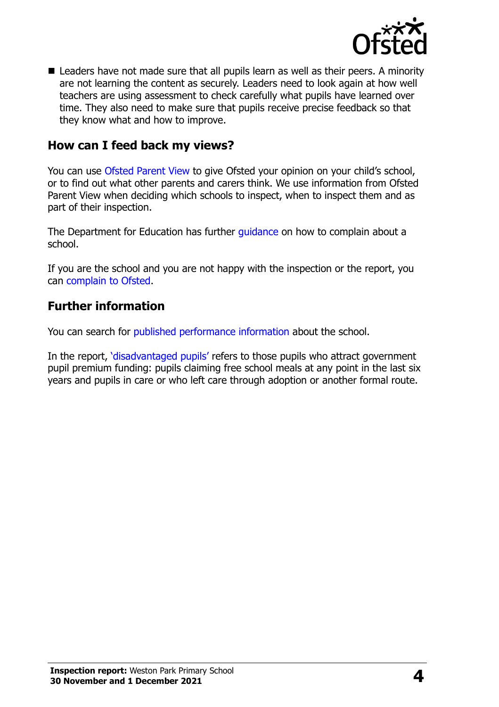

 $\blacksquare$  Leaders have not made sure that all pupils learn as well as their peers. A minority are not learning the content as securely. Leaders need to look again at how well teachers are using assessment to check carefully what pupils have learned over time. They also need to make sure that pupils receive precise feedback so that they know what and how to improve.

#### **How can I feed back my views?**

You can use [Ofsted Parent View](http://parentview.ofsted.gov.uk/) to give Ofsted your opinion on your child's school, or to find out what other parents and carers think. We use information from Ofsted Parent View when deciding which schools to inspect, when to inspect them and as part of their inspection.

The Department for Education has further quidance on how to complain about a school.

If you are the school and you are not happy with the inspection or the report, you can [complain to Ofsted.](http://www.gov.uk/complain-ofsted-report)

### **Further information**

You can search for [published performance information](http://www.compare-school-performance.service.gov.uk/) about the school.

In the report, '[disadvantaged pupils](http://www.gov.uk/guidance/pupil-premium-information-for-schools-and-alternative-provision-settings)' refers to those pupils who attract government pupil premium funding: pupils claiming free school meals at any point in the last six years and pupils in care or who left care through adoption or another formal route.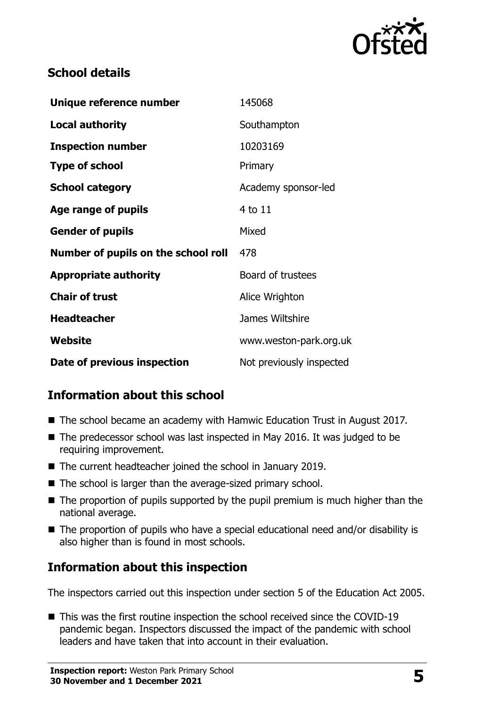

# **School details**

| Unique reference number             | 145068                   |
|-------------------------------------|--------------------------|
| <b>Local authority</b>              | Southampton              |
| <b>Inspection number</b>            | 10203169                 |
| <b>Type of school</b>               | Primary                  |
| <b>School category</b>              | Academy sponsor-led      |
| Age range of pupils                 | 4 to 11                  |
| <b>Gender of pupils</b>             | Mixed                    |
| Number of pupils on the school roll | 478                      |
| <b>Appropriate authority</b>        | Board of trustees        |
| <b>Chair of trust</b>               | Alice Wrighton           |
| <b>Headteacher</b>                  | James Wiltshire          |
| Website                             | www.weston-park.org.uk   |
| Date of previous inspection         | Not previously inspected |

# **Information about this school**

- The school became an academy with Hamwic Education Trust in August 2017.
- The predecessor school was last inspected in May 2016. It was judged to be requiring improvement.
- The current headteacher joined the school in January 2019.
- The school is larger than the average-sized primary school.
- The proportion of pupils supported by the pupil premium is much higher than the national average.
- The proportion of pupils who have a special educational need and/or disability is also higher than is found in most schools.

# **Information about this inspection**

The inspectors carried out this inspection under section 5 of the Education Act 2005.

■ This was the first routine inspection the school received since the COVID-19 pandemic began. Inspectors discussed the impact of the pandemic with school leaders and have taken that into account in their evaluation.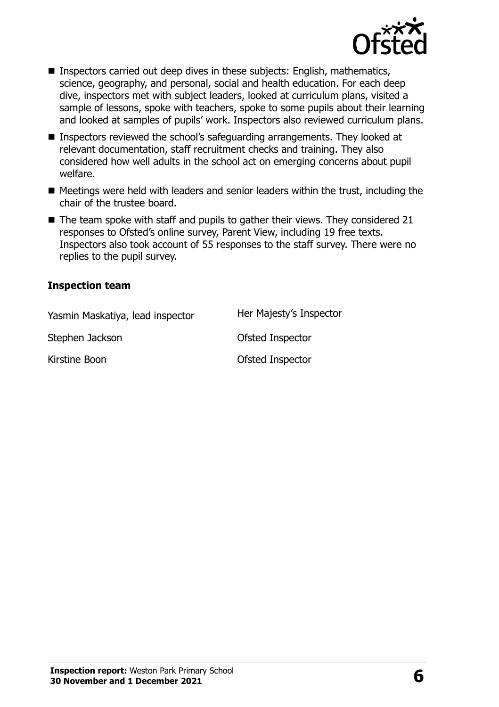

- Inspectors carried out deep dives in these subjects: English, mathematics, science, geography, and personal, social and health education. For each deep dive, inspectors met with subject leaders, looked at curriculum plans, visited a sample of lessons, spoke with teachers, spoke to some pupils about their learning and looked at samples of pupils' work. Inspectors also reviewed curriculum plans.
- Inspectors reviewed the school's safeguarding arrangements. They looked at relevant documentation, staff recruitment checks and training. They also considered how well adults in the school act on emerging concerns about pupil welfare.
- Meetings were held with leaders and senior leaders within the trust, including the chair of the trustee board.
- $\blacksquare$  The team spoke with staff and pupils to gather their views. They considered 21 responses to Ofsted's online survey, Parent View, including 19 free texts. Inspectors also took account of 55 responses to the staff survey. There were no replies to the pupil survey.

#### **Inspection team**

| Yasmin Maskatiya, lead inspector | Her Majesty's Inspector |
|----------------------------------|-------------------------|
| Stephen Jackson                  | Ofsted Inspector        |
| Kirstine Boon                    | Ofsted Inspector        |